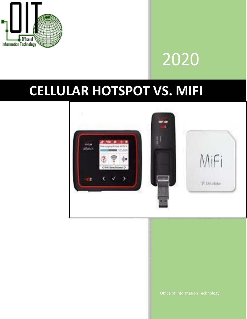

# 2020

## **CELLULAR HOTSPOT VS. MIFI**



Office of Information Technology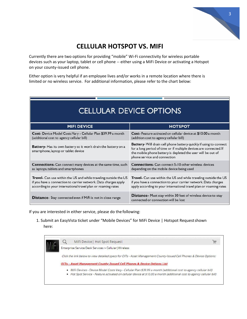

## **CELLULAR HOTSPOT VS. MIFI**

Currently there are two options for providing "mobile" Wi-Fi connectivity for wireless portable devices such as your laptop, tablet or cell phone -- either using a MiFi Device or activating a Hotspot on your county-issued cell phone.

Either option is very helpful if an employee lives and/or works in a remote location where there is limited or no wireless service. For additional information, please refer to the chart below:

| <b>CELLULAR DEVICE OPTIONS</b> |  |  |
|--------------------------------|--|--|
|--------------------------------|--|--|

| <b>MIFI DEVICE</b>                                                                                    | <b>HOTSPOT</b>                                                                                                                                                                                                                          |
|-------------------------------------------------------------------------------------------------------|-----------------------------------------------------------------------------------------------------------------------------------------------------------------------------------------------------------------------------------------|
| Cost- Device Model Costs Vary - Cellular Plan \$39.99 a month                                         | Cost-Feature activated on cellular device at \$10.00 a month                                                                                                                                                                            |
| (additional cost to agency cellular bill)                                                             | (addition cost to agency cellular bill)                                                                                                                                                                                                 |
| Battery-Has its own battery so it won't drain the battery on a<br>smartphone, laptop or tablet device | Battery-Will drain cell phone battery quickly if using to connect<br>for a long period of time or if multiple devices are connected. If<br>the mobile phone battery is depleted the user will be out of<br>phone service and connection |
| Connections- Can connect many devices at the same time, such                                          | <b>Connections-</b> Can connect 5-10 other wireless devices                                                                                                                                                                             |
| as laptops, tablets and smartphones                                                                   | depending on the mobile device being used                                                                                                                                                                                               |
| Travel- Can use within the US and while traveling outside the US                                      | Travel- Can use within the US and while traveling outside the US                                                                                                                                                                        |
| if you have a connection to carrier network. Data charges apply                                       | if you have a connection to your carrier network. Data charges                                                                                                                                                                          |
| according to your international travel plan or roaming rates                                          | apply according to your international travel plan or roaming rates                                                                                                                                                                      |
| <b>Distance-</b> Stay connected even if MiFi is not in close range                                    | <b>Distance-</b> Must stay within 30 feet of wireless device to stay<br>connected or connection will be lost                                                                                                                            |

If you are interested in either service, please do the following:

1. Submit an EasyVista ticket under "Mobile Devices" for MiFi Device | Hotspot Requestshown here:

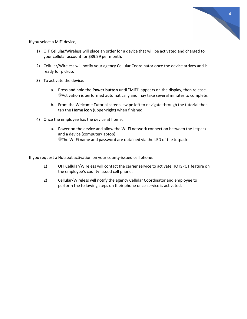

If you select a MiFi device,

- 1) OIT Cellular/Wireless will place an order for a device that will be activated and charged to your cellular account for \$39.99 per month.
- 2) Cellular/Wireless will notify your agency Cellular Coordinator once the device arrives and is ready for pickup.
- 3) To activate the device:
	- a. Press and hold the **Power button** until "MiFi" appears on the display, then release.  $\rightarrow$  Activation is performed automatically and may take several minutes to complete.
	- b. From the Welcome Tutorial screen, swipe left to navigate through the tutorial then tap the **Home icon** (upper-right) when finished.
- 4) Once the employee has the device at home:
	- a. Power on the device and allow the Wi-Fi network connection between the Jetpack and a device (computer/laptop).  $\rightarrow$ The Wi-Fi name and password are obtained via the LED of the Jetpack.

If you request a Hotspot activation on your county-issued cell phone:

- 1) OIT Cellular/Wireless will contact the carrier service to activate HOTSPOT feature on the employee's county-issued cell phone.
- 2) Cellular/Wireless will notify the agency Cellular Coordinator and employee to perform the following steps on their phone once service is activated.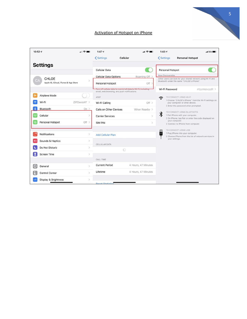#### Activation of Hotspot on iPhone



5